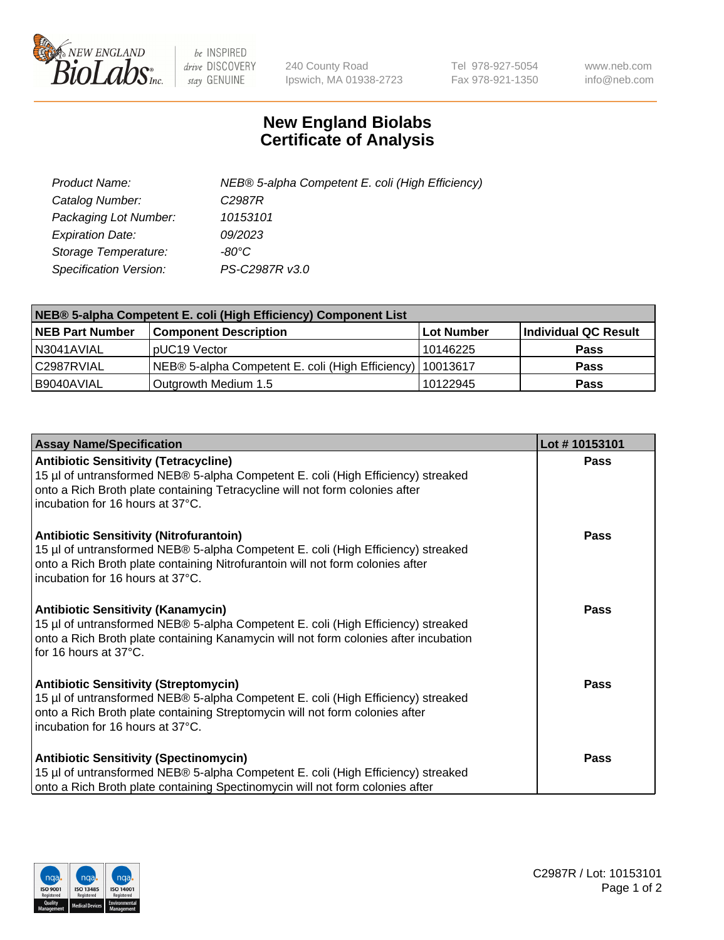

 $be$  INSPIRED drive DISCOVERY stay GENUINE

240 County Road Ipswich, MA 01938-2723 Tel 978-927-5054 Fax 978-921-1350 www.neb.com info@neb.com

## **New England Biolabs Certificate of Analysis**

| Product Name:           | NEB® 5-alpha Competent E. coli (High Efficiency) |
|-------------------------|--------------------------------------------------|
| Catalog Number:         | C <sub>2987</sub> R                              |
| Packaging Lot Number:   | 10153101                                         |
| <b>Expiration Date:</b> | 09/2023                                          |
| Storage Temperature:    | -80°C                                            |
| Specification Version:  | PS-C2987R v3.0                                   |

| NEB® 5-alpha Competent E. coli (High Efficiency) Component List |                                                             |            |                      |  |
|-----------------------------------------------------------------|-------------------------------------------------------------|------------|----------------------|--|
| <b>NEB Part Number</b>                                          | <b>Component Description</b>                                | Lot Number | Individual QC Result |  |
| N3041AVIAL                                                      | pUC19 Vector                                                | 10146225   | <b>Pass</b>          |  |
| C2987RVIAL                                                      | NEB® 5-alpha Competent E. coli (High Efficiency)   10013617 |            | <b>Pass</b>          |  |
| B9040AVIAL                                                      | Outgrowth Medium 1.5                                        | 10122945   | <b>Pass</b>          |  |

| <b>Assay Name/Specification</b>                                                                                                                                                                                                                          | Lot #10153101 |
|----------------------------------------------------------------------------------------------------------------------------------------------------------------------------------------------------------------------------------------------------------|---------------|
| <b>Antibiotic Sensitivity (Tetracycline)</b><br>15 µl of untransformed NEB® 5-alpha Competent E. coli (High Efficiency) streaked<br>onto a Rich Broth plate containing Tetracycline will not form colonies after<br>incubation for 16 hours at 37°C.     | <b>Pass</b>   |
| <b>Antibiotic Sensitivity (Nitrofurantoin)</b><br>15 µl of untransformed NEB® 5-alpha Competent E. coli (High Efficiency) streaked<br>onto a Rich Broth plate containing Nitrofurantoin will not form colonies after<br>incubation for 16 hours at 37°C. | Pass          |
| <b>Antibiotic Sensitivity (Kanamycin)</b><br>15 µl of untransformed NEB® 5-alpha Competent E. coli (High Efficiency) streaked<br>onto a Rich Broth plate containing Kanamycin will not form colonies after incubation<br>for 16 hours at 37°C.           | <b>Pass</b>   |
| <b>Antibiotic Sensitivity (Streptomycin)</b><br>15 µl of untransformed NEB® 5-alpha Competent E. coli (High Efficiency) streaked<br>onto a Rich Broth plate containing Streptomycin will not form colonies after<br>incubation for 16 hours at 37°C.     | Pass          |
| <b>Antibiotic Sensitivity (Spectinomycin)</b><br>15 µl of untransformed NEB® 5-alpha Competent E. coli (High Efficiency) streaked<br>onto a Rich Broth plate containing Spectinomycin will not form colonies after                                       | Pass          |